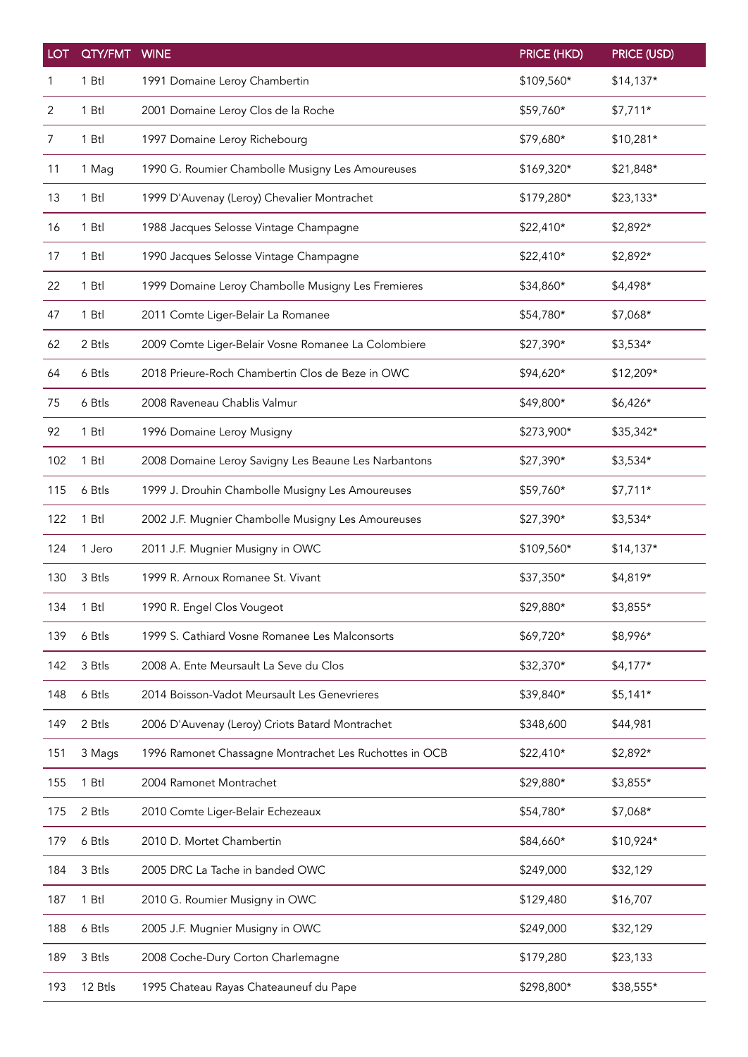| <b>LOT</b> | QTY/FMT | <b>WINE</b>                                            | PRICE (HKD) | PRICE (USD) |
|------------|---------|--------------------------------------------------------|-------------|-------------|
|            | 1 Btl   | 1991 Domaine Leroy Chambertin                          | \$109,560*  | $$14,137*$  |
| 2          | 1 Btl   | 2001 Domaine Leroy Clos de la Roche                    | \$59,760*   | $$7,711*$   |
| 7          | 1 Btl   | 1997 Domaine Leroy Richebourg                          | \$79,680*   | $$10,281*$  |
| 11         | 1 Mag   | 1990 G. Roumier Chambolle Musigny Les Amoureuses       | \$169,320*  | \$21,848*   |
| 13         | 1 Btl   | 1999 D'Auvenay (Leroy) Chevalier Montrachet            | \$179,280*  | $$23,133*$  |
| 16         | 1 Btl   | 1988 Jacques Selosse Vintage Champagne                 | $$22,410*$  | \$2,892*    |
| 17         | 1 Btl   | 1990 Jacques Selosse Vintage Champagne                 | $$22,410*$  | \$2,892*    |
| 22         | 1 Btl   | 1999 Domaine Leroy Chambolle Musigny Les Fremieres     | \$34,860*   | \$4,498*    |
| 47         | 1 Btl   | 2011 Comte Liger-Belair La Romanee                     | \$54,780*   | \$7,068*    |
| 62         | 2 Btls  | 2009 Comte Liger-Belair Vosne Romanee La Colombiere    | \$27,390*   | \$3,534*    |
| 64         | 6 Btls  | 2018 Prieure-Roch Chambertin Clos de Beze in OWC       | \$94,620*   | \$12,209*   |
| 75         | 6 Btls  | 2008 Raveneau Chablis Valmur                           | \$49,800*   | \$6,426*    |
| 92         | 1 Btl   | 1996 Domaine Leroy Musigny                             | \$273,900*  | \$35,342*   |
| 102        | 1 Btl   | 2008 Domaine Leroy Savigny Les Beaune Les Narbantons   | \$27,390*   | \$3,534*    |
| 115        | 6 Btls  | 1999 J. Drouhin Chambolle Musigny Les Amoureuses       | \$59,760*   | $$7,711*$   |
| 122        | 1 Btl   | 2002 J.F. Mugnier Chambolle Musigny Les Amoureuses     | \$27,390*   | \$3,534*    |
| 124        | 1 Jero  | 2011 J.F. Mugnier Musigny in OWC                       | \$109,560*  | $$14,137*$  |
| 130        | 3 Btls  | 1999 R. Arnoux Romanee St. Vivant                      | \$37,350*   | \$4,819*    |
| 134        | 1 Btl   | 1990 R. Engel Clos Vougeot                             | \$29,880*   | \$3,855*    |
| 139        | 6 Btls  | 1999 S. Cathiard Vosne Romanee Les Malconsorts         | \$69,720*   | \$8,996*    |
| 142        | 3 Btls  | 2008 A. Ente Meursault La Seve du Clos                 | \$32,370*   | $$4,177*$   |
| 148        | 6 Btls  | 2014 Boisson-Vadot Meursault Les Genevrieres           | \$39,840*   | $$5,141*$   |
| 149        | 2 Btls  | 2006 D'Auvenay (Leroy) Criots Batard Montrachet        | \$348,600   | \$44,981    |
| 151        | 3 Mags  | 1996 Ramonet Chassagne Montrachet Les Ruchottes in OCB | \$22,410*   | \$2,892*    |
| 155        | 1 Btl   | 2004 Ramonet Montrachet                                | \$29,880*   | \$3,855*    |
| 175        | 2 Btls  | 2010 Comte Liger-Belair Echezeaux                      | \$54,780*   | \$7,068*    |
| 179        | 6 Btls  | 2010 D. Mortet Chambertin                              | \$84,660*   | \$10,924*   |
| 184        | 3 Btls  | 2005 DRC La Tache in banded OWC                        | \$249,000   | \$32,129    |
| 187        | 1 Btl   | 2010 G. Roumier Musigny in OWC                         | \$129,480   | \$16,707    |
| 188        | 6 Btls  | 2005 J.F. Mugnier Musigny in OWC                       | \$249,000   | \$32,129    |
| 189        | 3 Btls  | 2008 Coche-Dury Corton Charlemagne                     | \$179,280   | \$23,133    |
| 193        | 12 Btls | 1995 Chateau Rayas Chateauneuf du Pape                 | \$298,800*  | \$38,555*   |